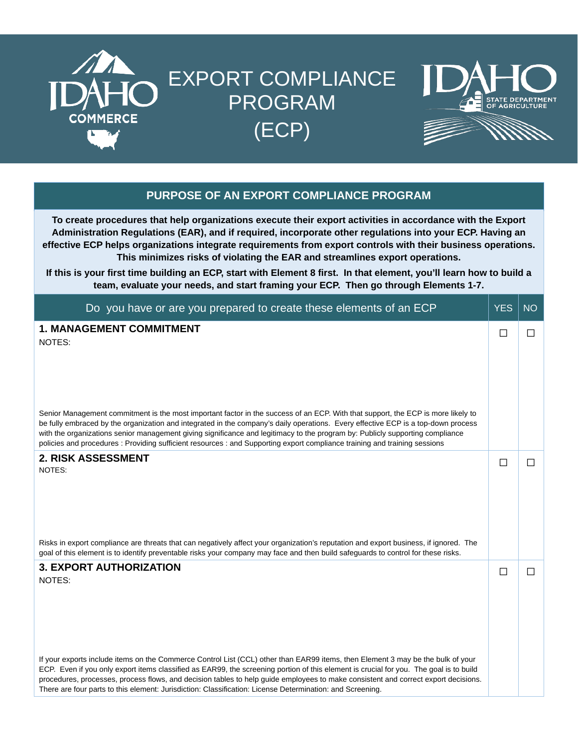

## EXPORT COMPLIANCE PROGRAM (ECP)





## **PURPOSE OF AN EXPORT COMPLIANCE PROGRAM**

**To create procedures that help organizations execute their export activities in accordance with the Export Administration Regulations (EAR), and if required, incorporate other regulations into your ECP. Having an effective ECP helps organizations integrate requirements from export controls with their business operations. This minimizes risks of violating the EAR and streamlines export operations.**

**If this is your first time building an ECP, start with Element 8 first. In that element, you'll learn how to build a team, evaluate your needs, and start framing your ECP. Then go through Elements 1-7.**

| Do you have or are you prepared to create these elements of an ECP                                                                                                                                                                                                                                                                                                                                                                                                                                                                   | <b>YES</b> | <b>NO</b> |
|--------------------------------------------------------------------------------------------------------------------------------------------------------------------------------------------------------------------------------------------------------------------------------------------------------------------------------------------------------------------------------------------------------------------------------------------------------------------------------------------------------------------------------------|------------|-----------|
| <b>1. MANAGEMENT COMMITMENT</b><br>NOTES:                                                                                                                                                                                                                                                                                                                                                                                                                                                                                            | П          | $\Box$    |
| Senior Management commitment is the most important factor in the success of an ECP. With that support, the ECP is more likely to<br>be fully embraced by the organization and integrated in the company's daily operations. Every effective ECP is a top-down process<br>with the organizations senior management giving significance and legitimacy to the program by: Publicly supporting compliance<br>policies and procedures : Providing sufficient resources : and Supporting export compliance training and training sessions |            |           |
| <b>2. RISK ASSESSMENT</b><br>NOTES:<br>Risks in export compliance are threats that can negatively affect your organization's reputation and export business, if ignored. The                                                                                                                                                                                                                                                                                                                                                         | П          | $\Box$    |
| goal of this element is to identify preventable risks your company may face and then build safeguards to control for these risks.                                                                                                                                                                                                                                                                                                                                                                                                    |            |           |
| <b>3. EXPORT AUTHORIZATION</b><br>NOTES:                                                                                                                                                                                                                                                                                                                                                                                                                                                                                             | □          | $\Box$    |
| If your exports include items on the Commerce Control List (CCL) other than EAR99 items, then Element 3 may be the bulk of your<br>ECP. Even if you only export items classified as EAR99, the screening portion of this element is crucial for you. The goal is to build<br>procedures, processes, process flows, and decision tables to help guide employees to make consistent and correct export decisions.<br>There are four parts to this element: Jurisdiction: Classification: License Determination: and Screening.         |            |           |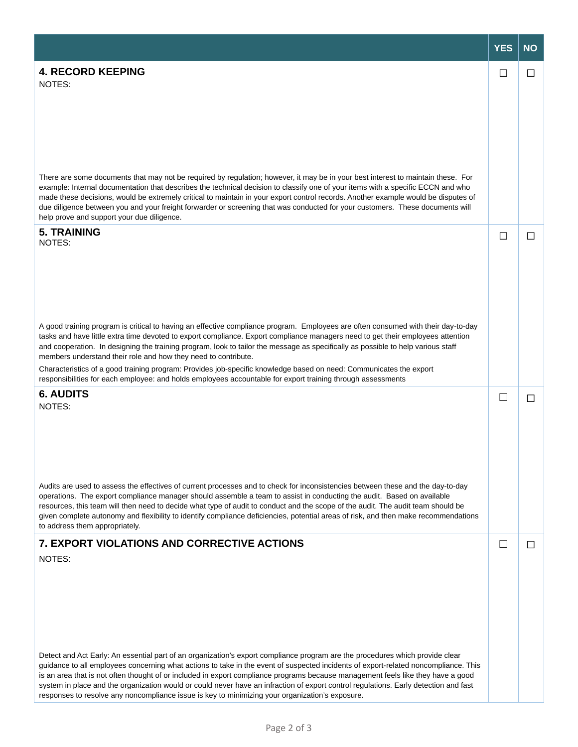|                                                                                                                                                                                                                                                                                                                                                                                                                                                                                                                                                                                                                                                                                                                 | <b>YES</b> | <b>NO</b>    |
|-----------------------------------------------------------------------------------------------------------------------------------------------------------------------------------------------------------------------------------------------------------------------------------------------------------------------------------------------------------------------------------------------------------------------------------------------------------------------------------------------------------------------------------------------------------------------------------------------------------------------------------------------------------------------------------------------------------------|------------|--------------|
| <b>4. RECORD KEEPING</b><br>NOTES:<br>There are some documents that may not be required by regulation; however, it may be in your best interest to maintain these. For<br>example: Internal documentation that describes the technical decision to classify one of your items with a specific ECCN and who                                                                                                                                                                                                                                                                                                                                                                                                      | П          | ΙI           |
| made these decisions, would be extremely critical to maintain in your export control records. Another example would be disputes of<br>due diligence between you and your freight forwarder or screening that was conducted for your customers. These documents will<br>help prove and support your due diligence.                                                                                                                                                                                                                                                                                                                                                                                               |            |              |
| <b>5. TRAINING</b><br>NOTES:                                                                                                                                                                                                                                                                                                                                                                                                                                                                                                                                                                                                                                                                                    | П          | П            |
| A good training program is critical to having an effective compliance program. Employees are often consumed with their day-to-day<br>tasks and have little extra time devoted to export compliance. Export compliance managers need to get their employees attention<br>and cooperation. In designing the training program, look to tailor the message as specifically as possible to help various staff<br>members understand their role and how they need to contribute.<br>Characteristics of a good training program: Provides job-specific knowledge based on need: Communicates the export<br>responsibilities for each employee: and holds employees accountable for export training through assessments |            |              |
| <b>6. AUDITS</b><br>NOTES:                                                                                                                                                                                                                                                                                                                                                                                                                                                                                                                                                                                                                                                                                      |            | П            |
| Audits are used to assess the effectives of current processes and to check for inconsistencies between these and the day-to-day<br>operations. The export compliance manager should assemble a team to assist in conducting the audit. Based on available<br>resources, this team will then need to decide what type of audit to conduct and the scope of the audit. The audit team should be<br>given complete autonomy and flexibility to identify compliance deficiencies, potential areas of risk, and then make recommendations<br>to address them appropriately.                                                                                                                                          |            |              |
| 7. EXPORT VIOLATIONS AND CORRECTIVE ACTIONS<br>NOTES:                                                                                                                                                                                                                                                                                                                                                                                                                                                                                                                                                                                                                                                           |            | $\mathsf{L}$ |
| Detect and Act Early: An essential part of an organization's export compliance program are the procedures which provide clear<br>guidance to all employees concerning what actions to take in the event of suspected incidents of export-related noncompliance. This<br>is an area that is not often thought of or included in export compliance programs because management feels like they have a good<br>system in place and the organization would or could never have an infraction of export control regulations. Early detection and fast<br>responses to resolve any noncompliance issue is key to minimizing your organization's exposure.                                                             |            |              |